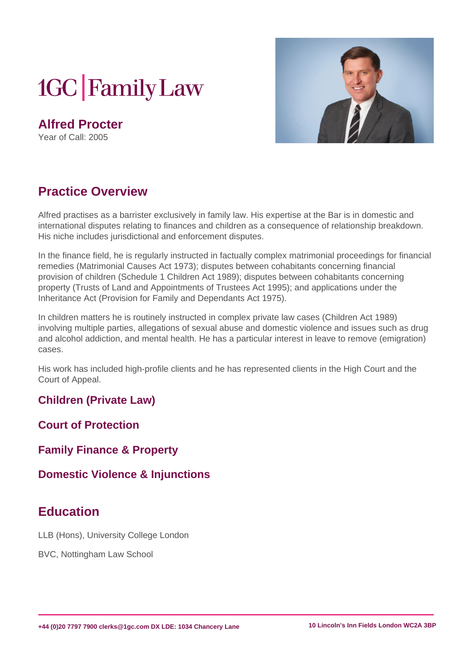# **1GC** Family Law

**Alfred Procter** Year of Call: 2005



## **Practice Overview**

Alfred practises as a barrister exclusively in family law. His expertise at the Bar is in domestic and international disputes relating to finances and children as a consequence of relationship breakdown. His niche includes jurisdictional and enforcement disputes.

In the finance field, he is regularly instructed in factually complex matrimonial proceedings for financial remedies (Matrimonial Causes Act 1973); disputes between cohabitants concerning financial provision of children (Schedule 1 Children Act 1989); disputes between cohabitants concerning property (Trusts of Land and Appointments of Trustees Act 1995); and applications under the Inheritance Act (Provision for Family and Dependants Act 1975).

In children matters he is routinely instructed in complex private law cases (Children Act 1989) involving multiple parties, allegations of sexual abuse and domestic violence and issues such as drug and alcohol addiction, and mental health. He has a particular interest in leave to remove (emigration) cases.

His work has included high-profile clients and he has represented clients in the High Court and the Court of Appeal.

**Children (Private Law)**

**Court of Protection**

**Family Finance & Property**

**Domestic Violence & Injunctions**

#### **Education**

LLB (Hons), University College London

BVC, Nottingham Law School